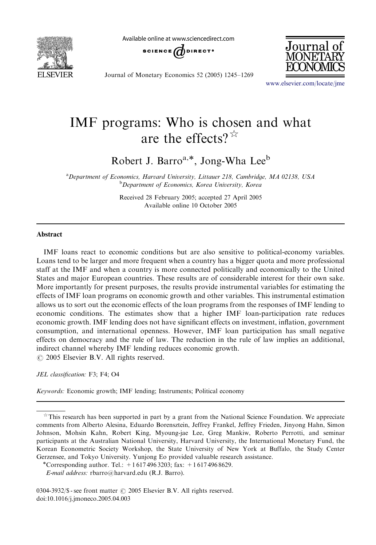

Available online at www.sciencedirect.com



Journal of Monetary Economics 52 (2005) 1245–1269



<www.elsevier.com/locate/jme>

## IMF programs: Who is chosen and what are the effects?  $\mathbb{R}^2$

Robert J. Barro<sup>a,\*</sup>, Jong-Wha Lee<sup>b</sup>

<sup>a</sup> Department of Economics, Harvard University, Littauer 218, Cambridge, MA 02138, USA **b** Department of Economics, Korea University, Korea

> Received 28 February 2005; accepted 27 April 2005 Available online 10 October 2005

## Abstract

IMF loans react to economic conditions but are also sensitive to political-economy variables. Loans tend to be larger and more frequent when a country has a bigger quota and more professional staff at the IMF and when a country is more connected politically and economically to the United States and major European countries. These results are of considerable interest for their own sake. More importantly for present purposes, the results provide instrumental variables for estimating the effects of IMF loan programs on economic growth and other variables. This instrumental estimation allows us to sort out the economic effects of the loan programs from the responses of IMF lending to economic conditions. The estimates show that a higher IMF loan-participation rate reduces economic growth. IMF lending does not have significant effects on investment, inflation, government consumption, and international openness. However, IMF loan participation has small negative effects on democracy and the rule of law. The reduction in the rule of law implies an additional, indirect channel whereby IMF lending reduces economic growth.  $\odot$  2005 Elsevier B.V. All rights reserved.

JEL classification: F3; F4; O4

Keywords: Economic growth; IMF lending; Instruments; Political economy

 $0304-3932/S$  - see front matter  $\odot$  2005 Elsevier B.V. All rights reserved. doi:10.1016/j.jmoneco.2005.04.003

 $*$  This research has been supported in part by a grant from the National Science Foundation. We appreciate comments from Alberto Alesina, Eduardo Borensztein, Jeffrey Frankel, Jeffrey Frieden, Jinyong Hahn, Simon Johnson, Mohsin Kahn, Robert King, Myoung-jae Lee, Greg Mankiw, Roberto Perrotti, and seminar participants at the Australian National University, Harvard University, the International Monetary Fund, the Korean Econometric Society Workshop, the State University of New York at Buffalo, the Study Center Gerzensee, and Tokyo University. Yunjong Eo provided valuable research assistance.<br>\*Corresponding author. Tel.: +1 617 496 3203; fax: +1 617 496 8629.

E-mail address: rbarro@harvard.edu (R.J. Barro).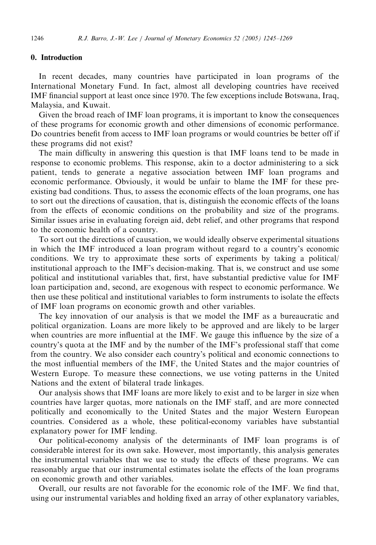## 0. Introduction

In recent decades, many countries have participated in loan programs of the International Monetary Fund. In fact, almost all developing countries have received IMF financial support at least once since 1970. The few exceptions include Botswana, Iraq, Malaysia, and Kuwait.

Given the broad reach of IMF loan programs, it is important to know the consequences of these programs for economic growth and other dimensions of economic performance. Do countries benefit from access to IMF loan programs or would countries be better off if these programs did not exist?

The main difficulty in answering this question is that IMF loans tend to be made in response to economic problems. This response, akin to a doctor administering to a sick patient, tends to generate a negative association between IMF loan programs and economic performance. Obviously, it would be unfair to blame the IMF for these preexisting bad conditions. Thus, to assess the economic effects of the loan programs, one has to sort out the directions of causation, that is, distinguish the economic effects of the loans from the effects of economic conditions on the probability and size of the programs. Similar issues arise in evaluating foreign aid, debt relief, and other programs that respond to the economic health of a country.

To sort out the directions of causation, we would ideally observe experimental situations in which the IMF introduced a loan program without regard to a country's economic conditions. We try to approximate these sorts of experiments by taking a political/ institutional approach to the IMF's decision-making. That is, we construct and use some political and institutional variables that, first, have substantial predictive value for IMF loan participation and, second, are exogenous with respect to economic performance. We then use these political and institutional variables to form instruments to isolate the effects of IMF loan programs on economic growth and other variables.

The key innovation of our analysis is that we model the IMF as a bureaucratic and political organization. Loans are more likely to be approved and are likely to be larger when countries are more influential at the IMF. We gauge this influence by the size of a country's quota at the IMF and by the number of the IMF's professional staff that come from the country. We also consider each country's political and economic connections to the most influential members of the IMF, the United States and the major countries of Western Europe. To measure these connections, we use voting patterns in the United Nations and the extent of bilateral trade linkages.

Our analysis shows that IMF loans are more likely to exist and to be larger in size when countries have larger quotas, more nationals on the IMF staff, and are more connected politically and economically to the United States and the major Western European countries. Considered as a whole, these political-economy variables have substantial explanatory power for IMF lending.

Our political-economy analysis of the determinants of IMF loan programs is of considerable interest for its own sake. However, most importantly, this analysis generates the instrumental variables that we use to study the effects of these programs. We can reasonably argue that our instrumental estimates isolate the effects of the loan programs on economic growth and other variables.

Overall, our results are not favorable for the economic role of the IMF. We find that, using our instrumental variables and holding fixed an array of other explanatory variables,